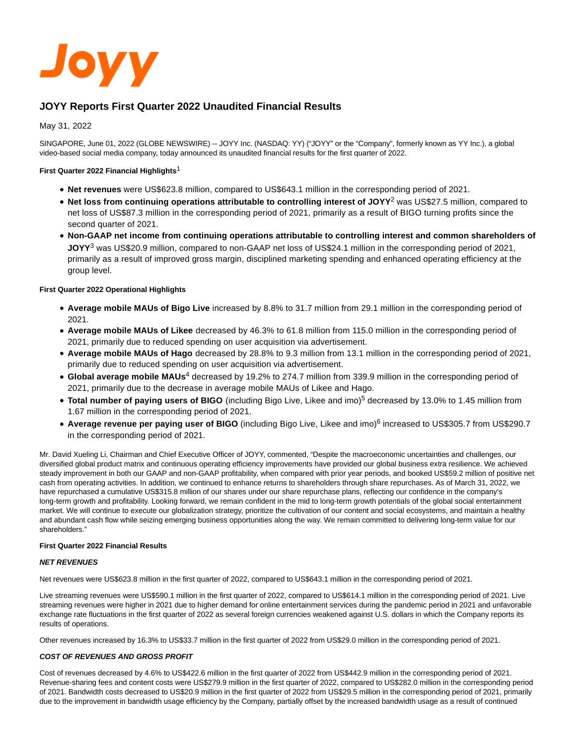

# **JOYY Reports First Quarter 2022 Unaudited Financial Results**

May 31, 2022

SINGAPORE, June 01, 2022 (GLOBE NEWSWIRE) -- JOYY Inc. (NASDAQ: YY) ("JOYY" or the "Company", formerly known as YY Inc.), a global video-based social media company, today announced its unaudited financial results for the first quarter of 2022.

## **First Quarter 2022 Financial Highlights**1

- **Net revenues** were US\$623.8 million, compared to US\$643.1 million in the corresponding period of 2021.
- **Net loss from continuing operations attributable to controlling interest of JOYY<sup>2</sup> was US\$27.5 million, compared to** net loss of US\$87.3 million in the corresponding period of 2021, primarily as a result of BIGO turning profits since the second quarter of 2021.
- **Non-GAAP net income from continuing operations attributable to controlling interest and common shareholders of JOYY**<sup>3</sup> was US\$20.9 million, compared to non-GAAP net loss of US\$24.1 million in the corresponding period of 2021, primarily as a result of improved gross margin, disciplined marketing spending and enhanced operating efficiency at the group level.

## **First Quarter 2022 Operational Highlights**

- **Average mobile MAUs of Bigo Live** increased by 8.8% to 31.7 million from 29.1 million in the corresponding period of 2021.
- **Average mobile MAUs of Likee** decreased by 46.3% to 61.8 million from 115.0 million in the corresponding period of 2021, primarily due to reduced spending on user acquisition via advertisement.
- **Average mobile MAUs of Hago** decreased by 28.8% to 9.3 million from 13.1 million in the corresponding period of 2021, primarily due to reduced spending on user acquisition via advertisement.
- Global average mobile MAUs<sup>4</sup> decreased by 19.2% to 274.7 million from 339.9 million in the corresponding period of 2021, primarily due to the decrease in average mobile MAUs of Likee and Hago.
- **Total number of paying users of BIGO** (including Bigo Live, Likee and imo)<sup>5</sup> decreased by 13.0% to 1.45 million from 1.67 million in the corresponding period of 2021.
- **Average revenue per paying user of BIGO** (including Bigo Live, Likee and imo)<sup>6</sup> increased to US\$305.7 from US\$290.7 in the corresponding period of 2021.

Mr. David Xueling Li, Chairman and Chief Executive Officer of JOYY, commented, "Despite the macroeconomic uncertainties and challenges, our diversified global product matrix and continuous operating efficiency improvements have provided our global business extra resilience. We achieved steady improvement in both our GAAP and non-GAAP profitability, when compared with prior year periods, and booked US\$59.2 million of positive net cash from operating activities. In addition, we continued to enhance returns to shareholders through share repurchases. As of March 31, 2022, we have repurchased a cumulative US\$315.8 million of our shares under our share repurchase plans, reflecting our confidence in the company's long-term growth and profitability. Looking forward, we remain confident in the mid to long-term growth potentials of the global social entertainment market. We will continue to execute our globalization strategy, prioritize the cultivation of our content and social ecosystems, and maintain a healthy and abundant cash flow while seizing emerging business opportunities along the way. We remain committed to delivering long-term value for our shareholders."

## **First Quarter 2022 Financial Results**

## **NET REVENUES**

Net revenues were US\$623.8 million in the first quarter of 2022, compared to US\$643.1 million in the corresponding period of 2021.

Live streaming revenues were US\$590.1 million in the first quarter of 2022, compared to US\$614.1 million in the corresponding period of 2021. Live streaming revenues were higher in 2021 due to higher demand for online entertainment services during the pandemic period in 2021 and unfavorable exchange rate fluctuations in the first quarter of 2022 as several foreign currencies weakened against U.S. dollars in which the Company reports its results of operations.

Other revenues increased by 16.3% to US\$33.7 million in the first quarter of 2022 from US\$29.0 million in the corresponding period of 2021.

## **COST OF REVENUES AND GROSS PROFIT**

Cost of revenues decreased by 4.6% to US\$422.6 million in the first quarter of 2022 from US\$442.9 million in the corresponding period of 2021. Revenue-sharing fees and content costs were US\$279.9 million in the first quarter of 2022, compared to US\$282.0 million in the corresponding period of 2021. Bandwidth costs decreased to US\$20.9 million in the first quarter of 2022 from US\$29.5 million in the corresponding period of 2021, primarily due to the improvement in bandwidth usage efficiency by the Company, partially offset by the increased bandwidth usage as a result of continued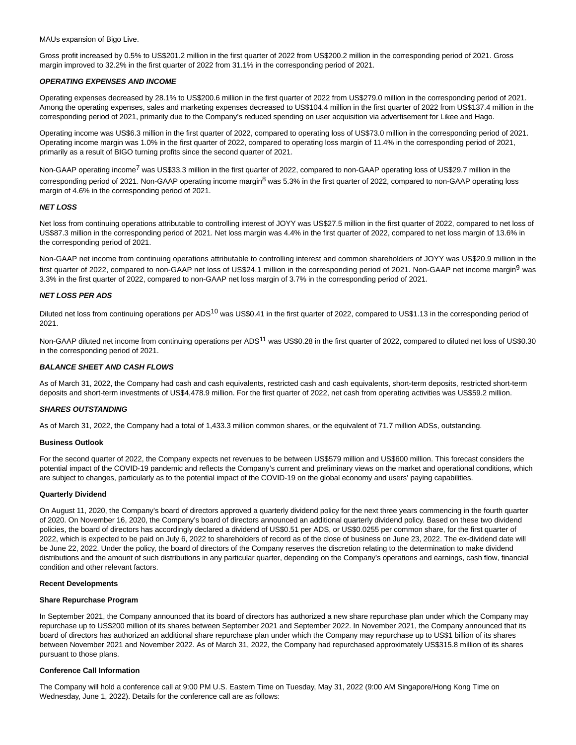MAUs expansion of Bigo Live.

Gross profit increased by 0.5% to US\$201.2 million in the first quarter of 2022 from US\$200.2 million in the corresponding period of 2021. Gross margin improved to 32.2% in the first quarter of 2022 from 31.1% in the corresponding period of 2021.

## **OPERATING EXPENSES AND INCOME**

Operating expenses decreased by 28.1% to US\$200.6 million in the first quarter of 2022 from US\$279.0 million in the corresponding period of 2021. Among the operating expenses, sales and marketing expenses decreased to US\$104.4 million in the first quarter of 2022 from US\$137.4 million in the corresponding period of 2021, primarily due to the Company's reduced spending on user acquisition via advertisement for Likee and Hago.

Operating income was US\$6.3 million in the first quarter of 2022, compared to operating loss of US\$73.0 million in the corresponding period of 2021. Operating income margin was 1.0% in the first quarter of 2022, compared to operating loss margin of 11.4% in the corresponding period of 2021, primarily as a result of BIGO turning profits since the second quarter of 2021.

Non-GAAP operating income<sup>7</sup> was US\$33.3 million in the first quarter of 2022, compared to non-GAAP operating loss of US\$29.7 million in the corresponding period of 2021. Non-GAAP operating income margin<sup>8</sup> was 5.3% in the first quarter of 2022, compared to non-GAAP operating loss margin of 4.6% in the corresponding period of 2021.

### **NET LOSS**

Net loss from continuing operations attributable to controlling interest of JOYY was US\$27.5 million in the first quarter of 2022, compared to net loss of US\$87.3 million in the corresponding period of 2021. Net loss margin was 4.4% in the first quarter of 2022, compared to net loss margin of 13.6% in the corresponding period of 2021.

Non-GAAP net income from continuing operations attributable to controlling interest and common shareholders of JOYY was US\$20.9 million in the first quarter of 2022, compared to non-GAAP net loss of US\$24.1 million in the corresponding period of 2021. Non-GAAP net income margin<sup>9</sup> was 3.3% in the first quarter of 2022, compared to non-GAAP net loss margin of 3.7% in the corresponding period of 2021.

## **NET LOSS PER ADS**

Diluted net loss from continuing operations per ADS<sup>10</sup> was US\$0.41 in the first quarter of 2022, compared to US\$1.13 in the corresponding period of 2021.

Non-GAAP diluted net income from continuing operations per ADS<sup>11</sup> was US\$0.28 in the first quarter of 2022, compared to diluted net loss of US\$0.30 in the corresponding period of 2021.

### **BALANCE SHEET AND CASH FLOWS**

As of March 31, 2022, the Company had cash and cash equivalents, restricted cash and cash equivalents, short-term deposits, restricted short-term deposits and short-term investments of US\$4,478.9 million. For the first quarter of 2022, net cash from operating activities was US\$59.2 million.

#### **SHARES OUTSTANDING**

As of March 31, 2022, the Company had a total of 1,433.3 million common shares, or the equivalent of 71.7 million ADSs, outstanding.

#### **Business Outlook**

For the second quarter of 2022, the Company expects net revenues to be between US\$579 million and US\$600 million. This forecast considers the potential impact of the COVID-19 pandemic and reflects the Company's current and preliminary views on the market and operational conditions, which are subject to changes, particularly as to the potential impact of the COVID-19 on the global economy and users' paying capabilities.

#### **Quarterly Dividend**

On August 11, 2020, the Company's board of directors approved a quarterly dividend policy for the next three years commencing in the fourth quarter of 2020. On November 16, 2020, the Company's board of directors announced an additional quarterly dividend policy. Based on these two dividend policies, the board of directors has accordingly declared a dividend of US\$0.51 per ADS, or US\$0.0255 per common share, for the first quarter of 2022, which is expected to be paid on July 6, 2022 to shareholders of record as of the close of business on June 23, 2022. The ex-dividend date will be June 22, 2022. Under the policy, the board of directors of the Company reserves the discretion relating to the determination to make dividend distributions and the amount of such distributions in any particular quarter, depending on the Company's operations and earnings, cash flow, financial condition and other relevant factors.

### **Recent Developments**

### **Share Repurchase Program**

In September 2021, the Company announced that its board of directors has authorized a new share repurchase plan under which the Company may repurchase up to US\$200 million of its shares between September 2021 and September 2022. In November 2021, the Company announced that its board of directors has authorized an additional share repurchase plan under which the Company may repurchase up to US\$1 billion of its shares between November 2021 and November 2022. As of March 31, 2022, the Company had repurchased approximately US\$315.8 million of its shares pursuant to those plans.

#### **Conference Call Information**

The Company will hold a conference call at 9:00 PM U.S. Eastern Time on Tuesday, May 31, 2022 (9:00 AM Singapore/Hong Kong Time on Wednesday, June 1, 2022). Details for the conference call are as follows: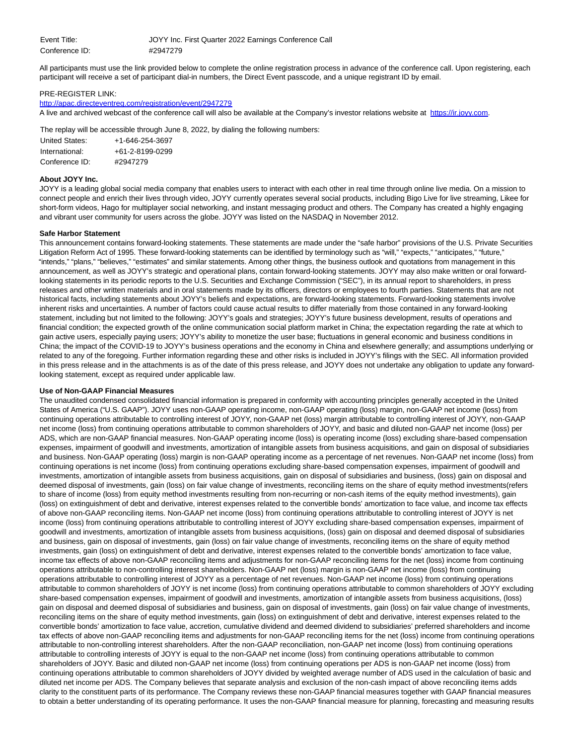| Event Title:   | JOYY Inc. First Quarter 2022 Earnings Conference Call |
|----------------|-------------------------------------------------------|
| Conference ID: | #2947279                                              |

All participants must use the link provided below to complete the online registration process in advance of the conference call. Upon registering, each participant will receive a set of participant dial-in numbers, the Direct Event passcode, and a unique registrant ID by email.

### PRE-REGISTER LINK:

[http://apac.directeventreg.com/registration/event/2947279](https://www.globenewswire.com/Tracker?data=wT8gQWZPr3GYbkrSO0cMjOv_ln37lIOtZruDbgi4nm0jI1ReDiBAvCESVjZyVGmAbksYoeOEJej58Sl5NfdhRTG_2C-qVlk8rU6A3gxiiKzEp7DdExsOFokafTgraiI0_vom9QkcXzjE0TMbelmeFLnhx4BnuUzkhKPZOElNAWyhfvGTZEfsecQB-6W-FYKS_xmrqggk8RzSLCAu4GDfPebBWdo1_Lonu39rzxN3qUA2rE_PAB7MWlMMn7Gp8OMqNK1nQmgqoqlz_59TYR79nIgCqZr2l1oCL0EcfLBrOKZ8hC08CBGsO5mGbvqTGhUG4Kat2fdVB41IUa4FiFFgqvoBtq7Wi2g3pccqzeHjO8qPUYylfX4n3emYoHq6Gn6rbS6mX5S3oTtI-u45uXs8Nix_pp4tgj4IN5OEOExbrKI=)

A live and archived webcast of the conference call will also be available at the Company's investor relations website at [https://ir.joyy.com.](https://www.globenewswire.com/Tracker?data=LqwAd4bMunek8TdxSMxcjxlz4YZd5KVbcir3_nkW95QAUiq8TfudsZMgvlMSC6XAU6MignbhPsv8fmRxx-2KXg==)

The replay will be accessible through June 8, 2022, by dialing the following numbers:

| United States: | +1-646-254-3697         |
|----------------|-------------------------|
| International: | $+61 - 2 - 8199 - 0299$ |
| Conference ID: | #2947279                |

### **About JOYY Inc.**

JOYY is a leading global social media company that enables users to interact with each other in real time through online live media. On a mission to connect people and enrich their lives through video, JOYY currently operates several social products, including Bigo Live for live streaming, Likee for short-form videos, Hago for multiplayer social networking, and instant messaging product and others. The Company has created a highly engaging and vibrant user community for users across the globe. JOYY was listed on the NASDAQ in November 2012.

### **Safe Harbor Statement**

This announcement contains forward-looking statements. These statements are made under the "safe harbor" provisions of the U.S. Private Securities Litigation Reform Act of 1995. These forward-looking statements can be identified by terminology such as "will," "expects," "anticipates," "future," "intends," "plans," "believes," "estimates" and similar statements. Among other things, the business outlook and quotations from management in this announcement, as well as JOYY's strategic and operational plans, contain forward-looking statements. JOYY may also make written or oral forwardlooking statements in its periodic reports to the U.S. Securities and Exchange Commission ("SEC"), in its annual report to shareholders, in press releases and other written materials and in oral statements made by its officers, directors or employees to fourth parties. Statements that are not historical facts, including statements about JOYY's beliefs and expectations, are forward-looking statements. Forward-looking statements involve inherent risks and uncertainties. A number of factors could cause actual results to differ materially from those contained in any forward-looking statement, including but not limited to the following: JOYY's goals and strategies; JOYY's future business development, results of operations and financial condition; the expected growth of the online communication social platform market in China; the expectation regarding the rate at which to gain active users, especially paying users; JOYY's ability to monetize the user base; fluctuations in general economic and business conditions in China; the impact of the COVID-19 to JOYY's business operations and the economy in China and elsewhere generally; and assumptions underlying or related to any of the foregoing. Further information regarding these and other risks is included in JOYY's filings with the SEC. All information provided in this press release and in the attachments is as of the date of this press release, and JOYY does not undertake any obligation to update any forwardlooking statement, except as required under applicable law.

#### **Use of Non-GAAP Financial Measures**

The unaudited condensed consolidated financial information is prepared in conformity with accounting principles generally accepted in the United States of America ("U.S. GAAP"). JOYY uses non-GAAP operating income, non-GAAP operating (loss) margin, non-GAAP net income (loss) from continuing operations attributable to controlling interest of JOYY, non-GAAP net (loss) margin attributable to controlling interest of JOYY, non-GAAP net income (loss) from continuing operations attributable to common shareholders of JOYY, and basic and diluted non-GAAP net income (loss) per ADS, which are non-GAAP financial measures. Non-GAAP operating income (loss) is operating income (loss) excluding share-based compensation expenses, impairment of goodwill and investments, amortization of intangible assets from business acquisitions, and gain on disposal of subsidiaries and business. Non-GAAP operating (loss) margin is non-GAAP operating income as a percentage of net revenues. Non-GAAP net income (loss) from continuing operations is net income (loss) from continuing operations excluding share-based compensation expenses, impairment of goodwill and investments, amortization of intangible assets from business acquisitions, gain on disposal of subsidiaries and business, (loss) gain on disposal and deemed disposal of investments, gain (loss) on fair value change of investments, reconciling items on the share of equity method investments(refers to share of income (loss) from equity method investments resulting from non-recurring or non-cash items of the equity method investments), gain (loss) on extinguishment of debt and derivative, interest expenses related to the convertible bonds' amortization to face value, and income tax effects of above non-GAAP reconciling items. Non-GAAP net income (loss) from continuing operations attributable to controlling interest of JOYY is net income (loss) from continuing operations attributable to controlling interest of JOYY excluding share-based compensation expenses, impairment of goodwill and investments, amortization of intangible assets from business acquisitions, (loss) gain on disposal and deemed disposal of subsidiaries and business, gain on disposal of investments, gain (loss) on fair value change of investments, reconciling items on the share of equity method investments, gain (loss) on extinguishment of debt and derivative, interest expenses related to the convertible bonds' amortization to face value, income tax effects of above non-GAAP reconciling items and adjustments for non-GAAP reconciling items for the net (loss) income from continuing operations attributable to non-controlling interest shareholders. Non-GAAP net (loss) margin is non-GAAP net income (loss) from continuing operations attributable to controlling interest of JOYY as a percentage of net revenues. Non-GAAP net income (loss) from continuing operations attributable to common shareholders of JOYY is net income (loss) from continuing operations attributable to common shareholders of JOYY excluding share-based compensation expenses, impairment of goodwill and investments, amortization of intangible assets from business acquisitions, (loss) gain on disposal and deemed disposal of subsidiaries and business, gain on disposal of investments, gain (loss) on fair value change of investments, reconciling items on the share of equity method investments, gain (loss) on extinguishment of debt and derivative, interest expenses related to the convertible bonds' amortization to face value, accretion, cumulative dividend and deemed dividend to subsidiaries' preferred shareholders and income tax effects of above non-GAAP reconciling items and adjustments for non-GAAP reconciling items for the net (loss) income from continuing operations attributable to non-controlling interest shareholders. After the non-GAAP reconciliation, non-GAAP net income (loss) from continuing operations attributable to controlling interests of JOYY is equal to the non-GAAP net income (loss) from continuing operations attributable to common shareholders of JOYY. Basic and diluted non-GAAP net income (loss) from continuing operations per ADS is non-GAAP net income (loss) from continuing operations attributable to common shareholders of JOYY divided by weighted average number of ADS used in the calculation of basic and diluted net income per ADS. The Company believes that separate analysis and exclusion of the non-cash impact of above reconciling items adds clarity to the constituent parts of its performance. The Company reviews these non-GAAP financial measures together with GAAP financial measures to obtain a better understanding of its operating performance. It uses the non-GAAP financial measure for planning, forecasting and measuring results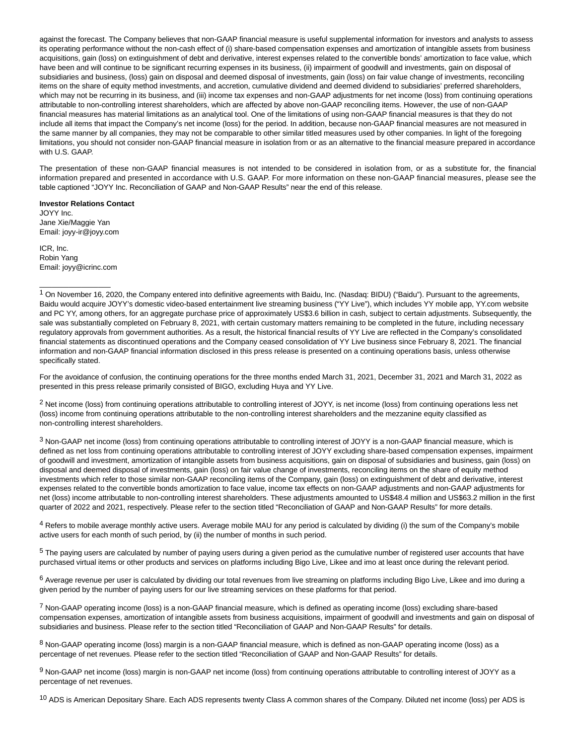against the forecast. The Company believes that non-GAAP financial measure is useful supplemental information for investors and analysts to assess its operating performance without the non-cash effect of (i) share-based compensation expenses and amortization of intangible assets from business acquisitions, gain (loss) on extinguishment of debt and derivative, interest expenses related to the convertible bonds' amortization to face value, which have been and will continue to be significant recurring expenses in its business, (ii) impairment of goodwill and investments, gain on disposal of subsidiaries and business, (loss) gain on disposal and deemed disposal of investments, gain (loss) on fair value change of investments, reconciling items on the share of equity method investments, and accretion, cumulative dividend and deemed dividend to subsidiaries' preferred shareholders, which may not be recurring in its business, and (iii) income tax expenses and non-GAAP adjustments for net income (loss) from continuing operations attributable to non-controlling interest shareholders, which are affected by above non-GAAP reconciling items. However, the use of non-GAAP financial measures has material limitations as an analytical tool. One of the limitations of using non-GAAP financial measures is that they do not include all items that impact the Company's net income (loss) for the period. In addition, because non-GAAP financial measures are not measured in the same manner by all companies, they may not be comparable to other similar titled measures used by other companies. In light of the foregoing limitations, you should not consider non-GAAP financial measure in isolation from or as an alternative to the financial measure prepared in accordance with U.S. GAAP.

The presentation of these non-GAAP financial measures is not intended to be considered in isolation from, or as a substitute for, the financial information prepared and presented in accordance with U.S. GAAP. For more information on these non-GAAP financial measures, please see the table captioned "JOYY Inc. Reconciliation of GAAP and Non-GAAP Results" near the end of this release.

**Investor Relations Contact** JOYY Inc. Jane Xie/Maggie Yan Email: joyy-ir@joyy.com

ICR, Inc. Robin Yang Email: joyy@icrinc.com

 $\overline{\phantom{a}}$  , where  $\overline{\phantom{a}}$  , where  $\overline{\phantom{a}}$ 

For the avoidance of confusion, the continuing operations for the three months ended March 31, 2021, December 31, 2021 and March 31, 2022 as presented in this press release primarily consisted of BIGO, excluding Huya and YY Live.

<sup>2</sup> Net income (loss) from continuing operations attributable to controlling interest of JOYY, is net income (loss) from continuing operations less net (loss) income from continuing operations attributable to the non-controlling interest shareholders and the mezzanine equity classified as non-controlling interest shareholders.

<sup>3</sup> Non-GAAP net income (loss) from continuing operations attributable to controlling interest of JOYY is a non-GAAP financial measure, which is defined as net loss from continuing operations attributable to controlling interest of JOYY excluding share-based compensation expenses, impairment of goodwill and investment, amortization of intangible assets from business acquisitions, gain on disposal of subsidiaries and business, gain (loss) on disposal and deemed disposal of investments, gain (loss) on fair value change of investments, reconciling items on the share of equity method investments which refer to those similar non-GAAP reconciling items of the Company, gain (loss) on extinguishment of debt and derivative, interest expenses related to the convertible bonds amortization to face value, income tax effects on non-GAAP adjustments and non-GAAP adjustments for net (loss) income attributable to non-controlling interest shareholders. These adjustments amounted to US\$48.4 million and US\$63.2 million in the first quarter of 2022 and 2021, respectively. Please refer to the section titled "Reconciliation of GAAP and Non-GAAP Results" for more details.

<sup>4</sup> Refers to mobile average monthly active users. Average mobile MAU for any period is calculated by dividing (i) the sum of the Company's mobile active users for each month of such period, by (ii) the number of months in such period.

<sup>5</sup> The paying users are calculated by number of paying users during a given period as the cumulative number of registered user accounts that have purchased virtual items or other products and services on platforms including Bigo Live, Likee and imo at least once during the relevant period.

 $6$  Average revenue per user is calculated by dividing our total revenues from live streaming on platforms including Bigo Live, Likee and imo during a given period by the number of paying users for our live streaming services on these platforms for that period.

7 Non-GAAP operating income (loss) is a non-GAAP financial measure, which is defined as operating income (loss) excluding share-based compensation expenses, amortization of intangible assets from business acquisitions, impairment of goodwill and investments and gain on disposal of subsidiaries and business. Please refer to the section titled "Reconciliation of GAAP and Non-GAAP Results" for details.

8 Non-GAAP operating income (loss) margin is a non-GAAP financial measure, which is defined as non-GAAP operating income (loss) as a percentage of net revenues. Please refer to the section titled "Reconciliation of GAAP and Non-GAAP Results" for details.

9 Non-GAAP net income (loss) margin is non-GAAP net income (loss) from continuing operations attributable to controlling interest of JOYY as a percentage of net revenues.

<sup>10</sup> ADS is American Depositary Share. Each ADS represents twenty Class A common shares of the Company. Diluted net income (loss) per ADS is

<sup>1</sup> On November 16, 2020, the Company entered into definitive agreements with Baidu, Inc. (Nasdaq: BIDU) ("Baidu"). Pursuant to the agreements, Baidu would acquire JOYY's domestic video-based entertainment live streaming business ("YY Live"), which includes YY mobile app, YY.com website and PC YY, among others, for an aggregate purchase price of approximately US\$3.6 billion in cash, subject to certain adjustments. Subsequently, the sale was substantially completed on February 8, 2021, with certain customary matters remaining to be completed in the future, including necessary regulatory approvals from government authorities. As a result, the historical financial results of YY Live are reflected in the Company's consolidated financial statements as discontinued operations and the Company ceased consolidation of YY Live business since February 8, 2021. The financial information and non-GAAP financial information disclosed in this press release is presented on a continuing operations basis, unless otherwise specifically stated.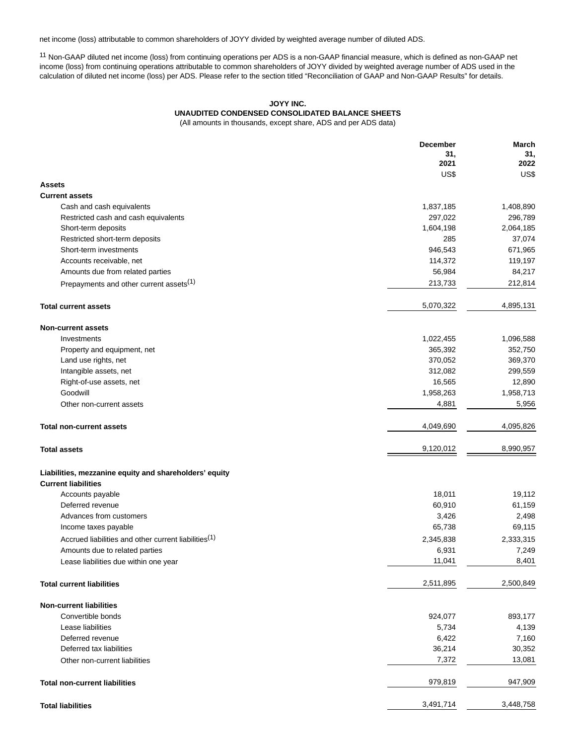net income (loss) attributable to common shareholders of JOYY divided by weighted average number of diluted ADS.

11 Non-GAAP diluted net income (loss) from continuing operations per ADS is a non-GAAP financial measure, which is defined as non-GAAP net income (loss) from continuing operations attributable to common shareholders of JOYY divided by weighted average number of ADS used in the calculation of diluted net income (loss) per ADS. Please refer to the section titled "Reconciliation of GAAP and Non-GAAP Results" for details.

## **JOYY INC.**

## **UNAUDITED CONDENSED CONSOLIDATED BALANCE SHEETS**

|                                                                                      | <b>December</b> | March     |
|--------------------------------------------------------------------------------------|-----------------|-----------|
|                                                                                      | 31,             | 31,       |
|                                                                                      | 2021            | 2022      |
|                                                                                      | US\$            | US\$      |
| <b>Assets</b>                                                                        |                 |           |
| <b>Current assets</b>                                                                |                 |           |
| Cash and cash equivalents                                                            | 1,837,185       | 1,408,890 |
| Restricted cash and cash equivalents                                                 | 297,022         | 296,789   |
| Short-term deposits                                                                  | 1,604,198       | 2,064,185 |
| Restricted short-term deposits                                                       | 285             | 37,074    |
| Short-term investments                                                               | 946,543         | 671,965   |
| Accounts receivable, net                                                             | 114,372         | 119,197   |
| Amounts due from related parties                                                     | 56,984          | 84,217    |
| Prepayments and other current assets <sup>(1)</sup>                                  | 213,733         | 212,814   |
| <b>Total current assets</b>                                                          | 5,070,322       | 4,895,131 |
| <b>Non-current assets</b>                                                            |                 |           |
| Investments                                                                          | 1,022,455       | 1,096,588 |
| Property and equipment, net                                                          | 365,392         | 352,750   |
| Land use rights, net                                                                 | 370,052         | 369,370   |
| Intangible assets, net                                                               | 312,082         | 299,559   |
| Right-of-use assets, net                                                             | 16,565          | 12,890    |
| Goodwill                                                                             | 1,958,263       | 1,958,713 |
| Other non-current assets                                                             | 4,881           | 5,956     |
|                                                                                      |                 |           |
| <b>Total non-current assets</b>                                                      | 4,049,690       | 4,095,826 |
| <b>Total assets</b>                                                                  | 9,120,012       | 8,990,957 |
|                                                                                      |                 |           |
| Liabilities, mezzanine equity and shareholders' equity<br><b>Current liabilities</b> |                 |           |
|                                                                                      | 18,011          | 19,112    |
| Accounts payable<br>Deferred revenue                                                 |                 |           |
|                                                                                      | 60,910          | 61,159    |
| Advances from customers                                                              | 3,426           | 2,498     |
| Income taxes payable                                                                 | 65,738          | 69,115    |
| Accrued liabilities and other current liabilities <sup>(1)</sup>                     | 2,345,838       | 2,333,315 |
| Amounts due to related parties                                                       | 6,931           | 7,249     |
| Lease liabilities due within one year                                                | 11.041          | 8,401     |
| <b>Total current liabilities</b>                                                     | 2,511,895       | 2,500,849 |
| <b>Non-current liabilities</b>                                                       |                 |           |
| Convertible bonds                                                                    | 924,077         | 893,177   |
| Lease liabilities                                                                    | 5,734           | 4,139     |
| Deferred revenue                                                                     | 6,422           | 7,160     |
| Deferred tax liabilities                                                             | 36,214          | 30,352    |
| Other non-current liabilities                                                        | 7,372           | 13,081    |
| <b>Total non-current liabilities</b>                                                 | 979,819         | 947,909   |
|                                                                                      |                 |           |
| <b>Total liabilities</b>                                                             | 3,491,714       | 3,448,758 |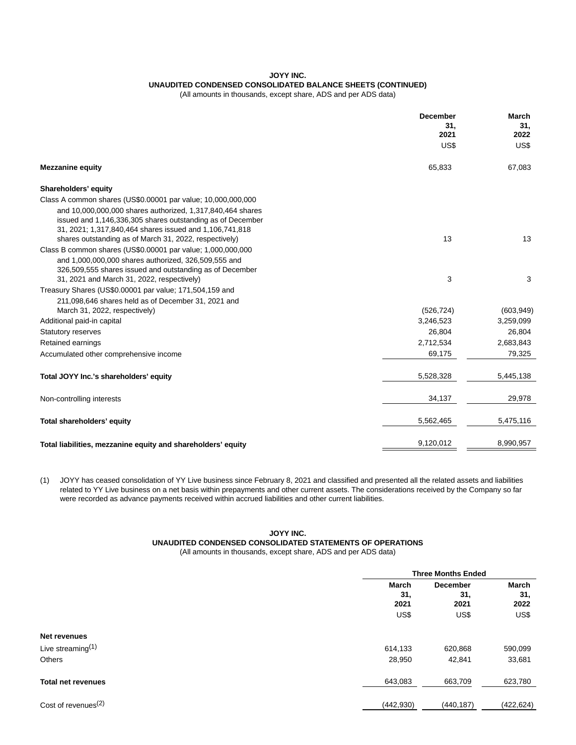## **JOYY INC.**

## **UNAUDITED CONDENSED CONSOLIDATED BALANCE SHEETS (CONTINUED)**

(All amounts in thousands, except share, ADS and per ADS data)

|                                                                                                                                                                                     | <b>December</b><br>31,<br>2021 | <b>March</b><br>31,<br>2022 |
|-------------------------------------------------------------------------------------------------------------------------------------------------------------------------------------|--------------------------------|-----------------------------|
|                                                                                                                                                                                     | US\$                           | US\$                        |
| <b>Mezzanine equity</b>                                                                                                                                                             | 65,833                         | 67,083                      |
| Shareholders' equity                                                                                                                                                                |                                |                             |
| Class A common shares (US\$0.00001 par value; 10,000,000,000                                                                                                                        |                                |                             |
| and 10,000,000,000 shares authorized, 1,317,840,464 shares<br>issued and 1,146,336,305 shares outstanding as of December<br>31, 2021; 1,317,840,464 shares issued and 1,106,741,818 |                                |                             |
| shares outstanding as of March 31, 2022, respectively)                                                                                                                              | 13                             | 13                          |
| Class B common shares (US\$0.00001 par value; 1,000,000,000                                                                                                                         |                                |                             |
| and 1,000,000,000 shares authorized, 326,509,555 and<br>326,509,555 shares issued and outstanding as of December<br>31, 2021 and March 31, 2022, respectively)                      | 3                              | 3                           |
| Treasury Shares (US\$0.00001 par value; 171,504,159 and                                                                                                                             |                                |                             |
| 211,098,646 shares held as of December 31, 2021 and                                                                                                                                 |                                |                             |
| March 31, 2022, respectively)                                                                                                                                                       | (526, 724)                     | (603, 949)                  |
| Additional paid-in capital                                                                                                                                                          | 3,246,523                      | 3,259,099                   |
| <b>Statutory reserves</b>                                                                                                                                                           | 26,804                         | 26,804                      |
| Retained earnings                                                                                                                                                                   | 2,712,534                      | 2,683,843                   |
| Accumulated other comprehensive income                                                                                                                                              | 69,175                         | 79,325                      |
| Total JOYY Inc.'s shareholders' equity                                                                                                                                              | 5,528,328                      | 5,445,138                   |
| Non-controlling interests                                                                                                                                                           | 34,137                         | 29,978                      |
| Total shareholders' equity                                                                                                                                                          | 5,562,465                      | 5,475,116                   |
| Total liabilities, mezzanine equity and shareholders' equity                                                                                                                        | 9,120,012                      | 8,990,957                   |

(1) JOYY has ceased consolidation of YY Live business since February 8, 2021 and classified and presented all the related assets and liabilities related to YY Live business on a net basis within prepayments and other current assets. The considerations received by the Company so far were recorded as advance payments received within accrued liabilities and other current liabilities.

## **JOYY INC. UNAUDITED CONDENSED CONSOLIDATED STATEMENTS OF OPERATIONS**

|                           |                             | <b>Three Months Ended</b>              |                                     |         |  |
|---------------------------|-----------------------------|----------------------------------------|-------------------------------------|---------|--|
|                           | <b>March</b><br>31,<br>2021 | <b>December</b><br>31,<br>2021<br>US\$ | <b>March</b><br>31,<br>2022<br>US\$ |         |  |
|                           | US\$                        |                                        |                                     |         |  |
| <b>Net revenues</b>       |                             |                                        |                                     |         |  |
| Live streaming $(1)$      | 614,133                     | 620,868                                |                                     | 590,099 |  |
| <b>Others</b>             | 28,950                      | 42,841                                 | 33,681                              |         |  |
| <b>Total net revenues</b> | 643,083                     | 663,709                                | 623,780                             |         |  |
| Cost of revenues $(2)$    | (442, 930)                  | (440, 187)                             | (422, 624)                          |         |  |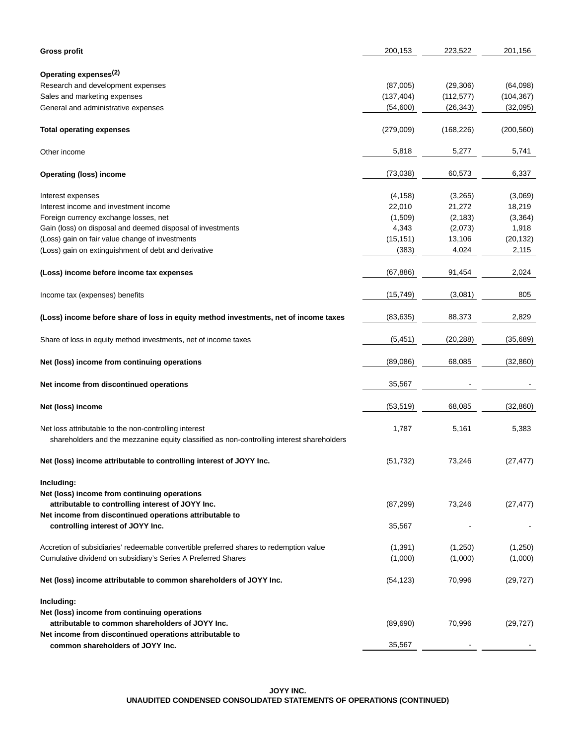| <b>Gross profit</b>                                                                                                                                | 200,153    | 223,522    | 201,156    |
|----------------------------------------------------------------------------------------------------------------------------------------------------|------------|------------|------------|
| Operating expenses <sup>(2)</sup>                                                                                                                  |            |            |            |
| Research and development expenses                                                                                                                  | (87,005)   | (29, 306)  | (64,098)   |
| Sales and marketing expenses                                                                                                                       | (137, 404) | (112, 577) | (104, 367) |
| General and administrative expenses                                                                                                                | (54,600)   | (26, 343)  | (32,095)   |
|                                                                                                                                                    |            |            |            |
| <b>Total operating expenses</b>                                                                                                                    | (279,009)  | (168, 226) | (200, 560) |
| Other income                                                                                                                                       | 5,818      | 5,277      | 5,741      |
| <b>Operating (loss) income</b>                                                                                                                     | (73,038)   | 60,573     | 6,337      |
| Interest expenses                                                                                                                                  | (4, 158)   | (3,265)    | (3,069)    |
| Interest income and investment income                                                                                                              | 22,010     | 21,272     | 18,219     |
| Foreign currency exchange losses, net                                                                                                              | (1,509)    | (2, 183)   | (3,364)    |
| Gain (loss) on disposal and deemed disposal of investments                                                                                         | 4,343      | (2,073)    | 1,918      |
| (Loss) gain on fair value change of investments                                                                                                    | (15, 151)  | 13,106     | (20, 132)  |
| (Loss) gain on extinguishment of debt and derivative                                                                                               | (383)      | 4,024      | 2,115      |
|                                                                                                                                                    |            |            |            |
| (Loss) income before income tax expenses                                                                                                           | (67, 886)  | 91,454     | 2,024      |
| Income tax (expenses) benefits                                                                                                                     | (15, 749)  | (3,081)    | 805        |
| (Loss) income before share of loss in equity method investments, net of income taxes                                                               | (83, 635)  | 88,373     | 2,829      |
| Share of loss in equity method investments, net of income taxes                                                                                    | (5, 451)   | (20, 288)  | (35,689)   |
| Net (loss) income from continuing operations                                                                                                       | (89,086)   | 68,085     | (32,860)   |
| Net income from discontinued operations                                                                                                            | 35,567     |            |            |
| Net (loss) income                                                                                                                                  | (53, 519)  | 68,085     | (32, 860)  |
| Net loss attributable to the non-controlling interest<br>shareholders and the mezzanine equity classified as non-controlling interest shareholders | 1,787      | 5,161      | 5,383      |
| Net (loss) income attributable to controlling interest of JOYY Inc.                                                                                | (51, 732)  | 73,246     | (27, 477)  |
| Including:                                                                                                                                         |            |            |            |
| Net (loss) income from continuing operations                                                                                                       |            |            |            |
| attributable to controlling interest of JOYY Inc.                                                                                                  | (87, 299)  | 73,246     | (27, 477)  |
| Net income from discontinued operations attributable to                                                                                            |            |            |            |
| controlling interest of JOYY Inc.                                                                                                                  | 35,567     |            |            |
| Accretion of subsidiaries' redeemable convertible preferred shares to redemption value                                                             | (1, 391)   | (1,250)    | (1,250)    |
| Cumulative dividend on subsidiary's Series A Preferred Shares                                                                                      | (1,000)    | (1,000)    | (1,000)    |
|                                                                                                                                                    |            |            |            |
| Net (loss) income attributable to common shareholders of JOYY Inc.                                                                                 | (54, 123)  | 70,996     | (29, 727)  |
| Including:                                                                                                                                         |            |            |            |
| Net (loss) income from continuing operations                                                                                                       |            |            |            |
| attributable to common shareholders of JOYY Inc.                                                                                                   | (89,690)   | 70,996     | (29, 727)  |
| Net income from discontinued operations attributable to                                                                                            |            |            |            |
| common shareholders of JOYY Inc.                                                                                                                   | 35,567     |            |            |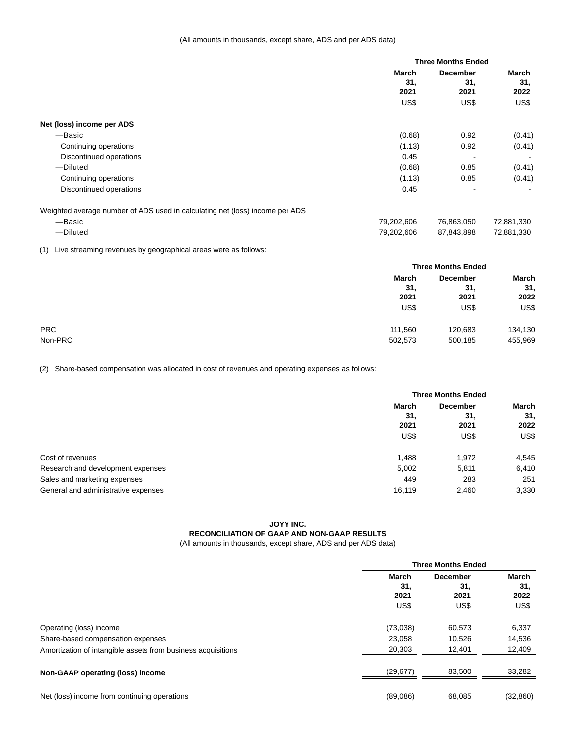|                                                                              | <b>Three Months Ended</b> |                 |             |
|------------------------------------------------------------------------------|---------------------------|-----------------|-------------|
|                                                                              | March                     | <b>December</b> | March       |
|                                                                              | 31.<br>2021               | 31,<br>2021     | 31,<br>2022 |
|                                                                              |                           |                 |             |
|                                                                              | US\$                      | US\$            | US\$        |
| Net (loss) income per ADS                                                    |                           |                 |             |
| -Basic                                                                       | (0.68)                    | 0.92            | (0.41)      |
| Continuing operations                                                        | (1.13)                    | 0.92            | (0.41)      |
| Discontinued operations                                                      | 0.45                      |                 |             |
| -Diluted                                                                     | (0.68)                    | 0.85            | (0.41)      |
| Continuing operations                                                        | (1.13)                    | 0.85            | (0.41)      |
| Discontinued operations                                                      | 0.45                      |                 |             |
| Weighted average number of ADS used in calculating net (loss) income per ADS |                           |                 |             |
| —Basic                                                                       | 79,202,606                | 76,863,050      | 72,881,330  |
| -Diluted                                                                     | 79,202,606                | 87,843,898      | 72,881,330  |

(1) Live streaming revenues by geographical areas were as follows:

|            |         | <b>Three Months Ended</b> |         |  |
|------------|---------|---------------------------|---------|--|
|            | March   | <b>December</b>           | March   |  |
|            | 31,     | 31,                       | 31,     |  |
|            | 2021    | 2021                      | 2022    |  |
|            | US\$    | US\$                      | US\$    |  |
| <b>PRC</b> | 111,560 | 120,683                   | 134,130 |  |
| Non-PRC    | 502,573 | 500,185                   | 455,969 |  |

(2) Share-based compensation was allocated in cost of revenues and operating expenses as follows:

|                                     |                                                        | <b>Three Months Ended</b>   |       |
|-------------------------------------|--------------------------------------------------------|-----------------------------|-------|
|                                     | March<br><b>December</b><br>31.<br>31,<br>2021<br>2021 | <b>March</b><br>31,<br>2022 |       |
|                                     | US\$                                                   | US\$                        | US\$  |
| Cost of revenues                    | 1,488                                                  | 1.972                       | 4.545 |
| Research and development expenses   | 5,002                                                  | 5.811                       | 6,410 |
| Sales and marketing expenses        | 449                                                    | 283                         | 251   |
| General and administrative expenses | 16,119                                                 | 2,460                       | 3,330 |

### **JOYY INC.**

### **RECONCILIATION OF GAAP AND NON-GAAP RESULTS**

|                                                              |                             | <b>Three Months Ended</b>      |                             |
|--------------------------------------------------------------|-----------------------------|--------------------------------|-----------------------------|
|                                                              | <b>March</b><br>31,<br>2021 | <b>December</b><br>31,<br>2021 | <b>March</b><br>31,<br>2022 |
|                                                              | US\$                        | US\$                           | US\$                        |
| Operating (loss) income                                      | (73,038)                    | 60,573                         | 6,337                       |
| Share-based compensation expenses                            | 23,058                      | 10,526                         | 14,536                      |
| Amortization of intangible assets from business acquisitions | 20,303                      | 12,401                         | 12,409                      |
| Non-GAAP operating (loss) income                             | (29, 677)                   | 83,500                         | 33,282                      |
| Net (loss) income from continuing operations                 | (89,086)                    | 68,085                         | (32, 860)                   |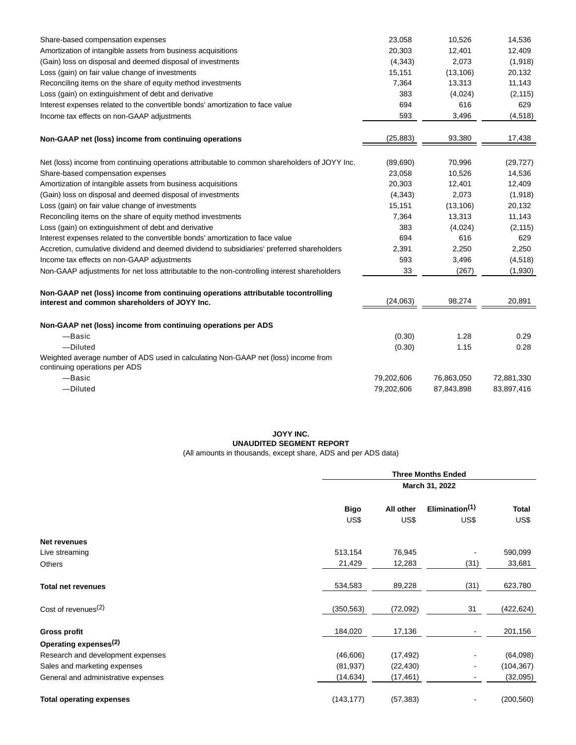| Share-based compensation expenses                                                                                                 | 23,058     | 10,526     | 14,536     |
|-----------------------------------------------------------------------------------------------------------------------------------|------------|------------|------------|
| Amortization of intangible assets from business acquisitions                                                                      | 20,303     | 12,401     | 12,409     |
| (Gain) loss on disposal and deemed disposal of investments                                                                        | (4, 343)   | 2,073      | (1,918)    |
| Loss (gain) on fair value change of investments                                                                                   | 15,151     | (13, 106)  | 20,132     |
| Reconciling items on the share of equity method investments                                                                       | 7,364      | 13,313     | 11,143     |
| Loss (gain) on extinguishment of debt and derivative                                                                              | 383        | (4,024)    | (2, 115)   |
| Interest expenses related to the convertible bonds' amortization to face value                                                    | 694        | 616        | 629        |
| Income tax effects on non-GAAP adjustments                                                                                        | 593        | 3,496      | (4,518)    |
| Non-GAAP net (loss) income from continuing operations                                                                             | (25, 883)  | 93,380     | 17,438     |
| Net (loss) income from continuing operations attributable to common shareholders of JOYY Inc.                                     | (89,690)   | 70,996     | (29, 727)  |
| Share-based compensation expenses                                                                                                 | 23,058     | 10,526     | 14,536     |
| Amortization of intangible assets from business acquisitions                                                                      | 20,303     | 12,401     | 12,409     |
| (Gain) loss on disposal and deemed disposal of investments                                                                        | (4, 343)   | 2,073      | (1,918)    |
| Loss (gain) on fair value change of investments                                                                                   | 15,151     | (13, 106)  | 20,132     |
| Reconciling items on the share of equity method investments                                                                       | 7,364      | 13,313     | 11,143     |
| Loss (gain) on extinguishment of debt and derivative                                                                              | 383        | (4,024)    | (2, 115)   |
| Interest expenses related to the convertible bonds' amortization to face value                                                    | 694        | 616        | 629        |
| Accretion, cumulative dividend and deemed dividend to subsidiaries' preferred shareholders                                        | 2,391      | 2,250      | 2,250      |
| Income tax effects on non-GAAP adjustments                                                                                        | 593        | 3,496      | (4,518)    |
| Non-GAAP adjustments for net loss attributable to the non-controlling interest shareholders                                       | 33         | (267)      | (1,930)    |
| Non-GAAP net (loss) income from continuing operations attributable tocontrolling<br>interest and common shareholders of JOYY Inc. | (24,063)   | 98,274     | 20,891     |
| Non-GAAP net (loss) income from continuing operations per ADS                                                                     |            |            |            |
| -Basic                                                                                                                            | (0.30)     | 1.28       | 0.29       |
| -Diluted                                                                                                                          | (0.30)     | 1.15       | 0.28       |
| Weighted average number of ADS used in calculating Non-GAAP net (loss) income from                                                |            |            |            |
| continuing operations per ADS                                                                                                     |            |            |            |
| -Basic                                                                                                                            | 79,202,606 | 76,863,050 | 72,881,330 |
| -Diluted                                                                                                                          | 79,202,606 | 87,843,898 | 83,897,416 |

# **JOYY INC. UNAUDITED SEGMENT REPORT**

|                                     |             | <b>Three Months Ended</b> |                            |              |  |
|-------------------------------------|-------------|---------------------------|----------------------------|--------------|--|
|                                     |             | March 31, 2022            |                            |              |  |
|                                     | <b>Bigo</b> | All other                 | Elimination <sup>(1)</sup> | <b>Total</b> |  |
|                                     | US\$        | US\$                      | US\$                       | US\$         |  |
| Net revenues                        |             |                           |                            |              |  |
| Live streaming                      | 513,154     | 76,945                    |                            | 590,099      |  |
| <b>Others</b>                       | 21,429      | 12,283                    | (31)                       | 33,681       |  |
| <b>Total net revenues</b>           | 534,583     | 89,228                    | (31)                       | 623,780      |  |
| Cost of revenues <sup>(2)</sup>     | (350,563)   | (72,092)                  | 31                         | (422, 624)   |  |
| <b>Gross profit</b>                 | 184,020     | 17,136                    | $\blacksquare$             | 201,156      |  |
| Operating expenses <sup>(2)</sup>   |             |                           |                            |              |  |
| Research and development expenses   | (46, 606)   | (17, 492)                 |                            | (64,098)     |  |
| Sales and marketing expenses        | (81, 937)   | (22, 430)                 | $\overline{\phantom{a}}$   | (104, 367)   |  |
| General and administrative expenses | (14, 634)   | (17, 461)                 | $\blacksquare$             | (32,095)     |  |
| <b>Total operating expenses</b>     | (143, 177)  | (57, 383)                 |                            | (200, 560)   |  |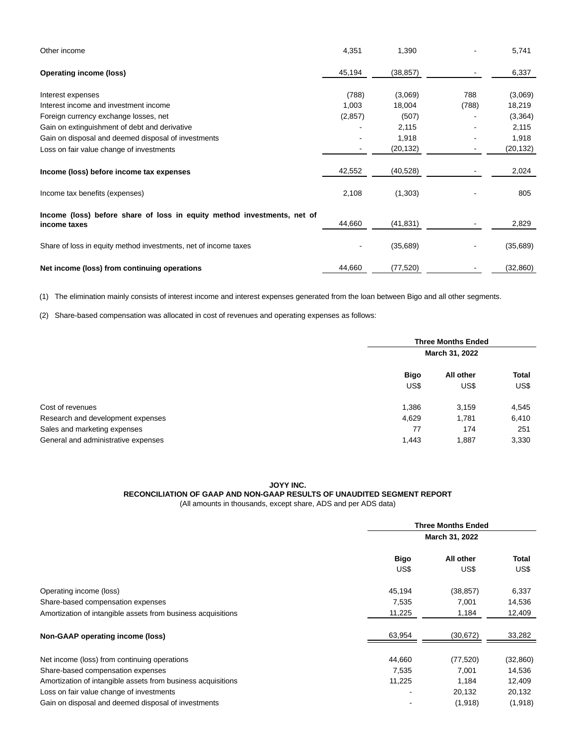| Other income                                                                            | 4,351                    | 1,390     |       | 5,741     |
|-----------------------------------------------------------------------------------------|--------------------------|-----------|-------|-----------|
| <b>Operating income (loss)</b>                                                          | 45,194                   | (38, 857) |       | 6,337     |
| Interest expenses                                                                       | (788)                    | (3,069)   | 788   | (3,069)   |
| Interest income and investment income                                                   | 1,003                    | 18,004    | (788) | 18,219    |
| Foreign currency exchange losses, net                                                   | (2,857)                  | (507)     |       | (3, 364)  |
| Gain on extinguishment of debt and derivative                                           |                          | 2,115     |       | 2,115     |
| Gain on disposal and deemed disposal of investments                                     | $\overline{a}$           | 1,918     |       | 1,918     |
| Loss on fair value change of investments                                                | $\overline{\phantom{a}}$ | (20, 132) |       | (20, 132) |
| Income (loss) before income tax expenses                                                | 42,552                   | (40, 528) |       | 2,024     |
| Income tax benefits (expenses)                                                          | 2,108                    | (1,303)   |       | 805       |
| Income (loss) before share of loss in equity method investments, net of<br>income taxes | 44,660                   | (41, 831) |       | 2,829     |
| Share of loss in equity method investments, net of income taxes                         |                          | (35,689)  |       | (35,689)  |
| Net income (loss) from continuing operations                                            | 44,660                   | (77, 520) |       | (32, 860) |

(1) The elimination mainly consists of interest income and interest expenses generated from the loan between Bigo and all other segments.

(2) Share-based compensation was allocated in cost of revenues and operating expenses as follows:

|                                     |             | <b>Three Months Ended</b> |              |  |
|-------------------------------------|-------------|---------------------------|--------------|--|
|                                     |             | March 31, 2022            |              |  |
|                                     | <b>Bigo</b> | All other                 | <b>Total</b> |  |
|                                     | US\$        | US\$                      | US\$         |  |
| Cost of revenues                    | 1,386       | 3.159                     | 4,545        |  |
| Research and development expenses   | 4,629       | 1,781                     | 6,410        |  |
| Sales and marketing expenses        | 77          | 174                       | 251          |  |
| General and administrative expenses | 1,443       | 1,887                     | 3,330        |  |

#### **JOYY INC.**

## **RECONCILIATION OF GAAP AND NON-GAAP RESULTS OF UNAUDITED SEGMENT REPORT**

|                                                              | <b>Three Months Ended</b> |           |           |  |
|--------------------------------------------------------------|---------------------------|-----------|-----------|--|
|                                                              | March 31, 2022            |           |           |  |
|                                                              | <b>Bigo</b>               | All other | Total     |  |
|                                                              | US\$                      | US\$      | US\$      |  |
| Operating income (loss)                                      | 45,194                    | (38, 857) | 6,337     |  |
| Share-based compensation expenses                            | 7,535                     | 7,001     | 14,536    |  |
| Amortization of intangible assets from business acquisitions | 11,225                    | 1,184     | 12,409    |  |
| Non-GAAP operating income (loss)                             | 63,954                    | (30, 672) | 33,282    |  |
| Net income (loss) from continuing operations                 | 44,660                    | (77, 520) | (32, 860) |  |
| Share-based compensation expenses                            | 7,535                     | 7,001     | 14,536    |  |
| Amortization of intangible assets from business acquisitions | 11,225                    | 1,184     | 12,409    |  |
| Loss on fair value change of investments                     |                           | 20,132    | 20,132    |  |
| Gain on disposal and deemed disposal of investments          |                           | (1,918)   | (1,918)   |  |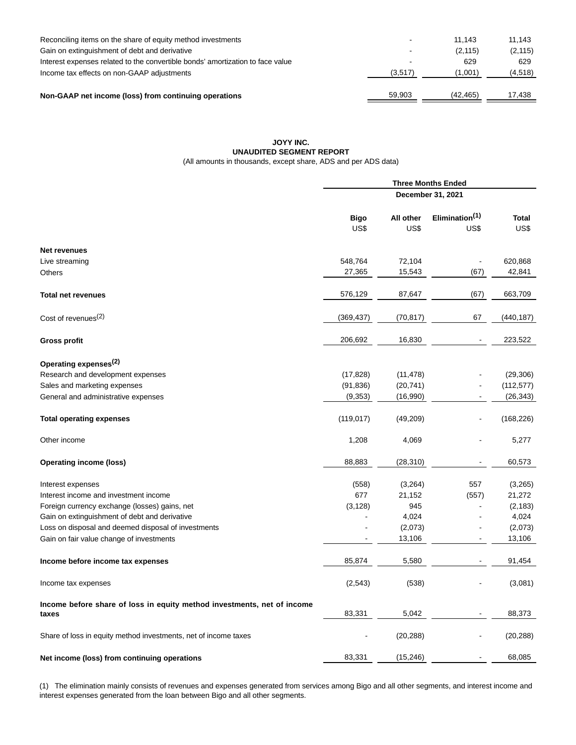| Reconciling items on the share of equity method investments                    | ٠                        | 11.143    | 11.143   |
|--------------------------------------------------------------------------------|--------------------------|-----------|----------|
| Gain on extinguishment of debt and derivative                                  | $\overline{\phantom{0}}$ | (2, 115)  | (2, 115) |
| Interest expenses related to the convertible bonds' amortization to face value | $\overline{\phantom{0}}$ | 629       | 629      |
| Income tax effects on non-GAAP adjustments                                     | (3,517)                  | (1,001)   | (4,518)  |
| Non-GAAP net income (loss) from continuing operations                          | 59.903                   | (42, 465) | 17,438   |

## **JOYY INC. UNAUDITED SEGMENT REPORT** (All amounts in thousands, except share, ADS and per ADS data)

|                                                                                  | <b>Three Months Ended</b> |                   |                                    |                      |
|----------------------------------------------------------------------------------|---------------------------|-------------------|------------------------------------|----------------------|
|                                                                                  | December 31, 2021         |                   |                                    |                      |
|                                                                                  | <b>Bigo</b><br>US\$       | All other<br>US\$ | Elimination <sup>(1)</sup><br>US\$ | <b>Total</b><br>US\$ |
| <b>Net revenues</b>                                                              |                           |                   |                                    |                      |
| Live streaming                                                                   | 548,764                   | 72,104            |                                    | 620,868              |
| <b>Others</b>                                                                    | 27,365                    | 15,543            | (67)                               | 42,841               |
| <b>Total net revenues</b>                                                        | 576,129                   | 87,647            | (67)                               | 663,709              |
| Cost of revenues <sup>(2)</sup>                                                  | (369, 437)                | (70, 817)         | 67                                 | (440, 187)           |
| <b>Gross profit</b>                                                              | 206,692                   | 16,830            |                                    | 223,522              |
| Operating expenses <sup>(2)</sup>                                                |                           |                   |                                    |                      |
| Research and development expenses                                                | (17, 828)                 | (11, 478)         |                                    | (29, 306)            |
| Sales and marketing expenses                                                     | (91, 836)                 | (20, 741)         |                                    | (112, 577)           |
| General and administrative expenses                                              | (9,353)                   | (16,990)          |                                    | (26, 343)            |
| <b>Total operating expenses</b>                                                  | (119, 017)                | (49,209)          |                                    | (168, 226)           |
| Other income                                                                     | 1,208                     | 4,069             |                                    | 5,277                |
| <b>Operating income (loss)</b>                                                   | 88,883                    | (28, 310)         |                                    | 60,573               |
| Interest expenses                                                                | (558)                     | (3,264)           | 557                                | (3,265)              |
| Interest income and investment income                                            | 677                       | 21,152            | (557)                              | 21,272               |
| Foreign currency exchange (losses) gains, net                                    | (3, 128)                  | 945               |                                    | (2, 183)             |
| Gain on extinguishment of debt and derivative                                    |                           | 4,024             |                                    | 4,024                |
| Loss on disposal and deemed disposal of investments                              |                           | (2,073)           |                                    | (2,073)              |
| Gain on fair value change of investments                                         |                           | 13,106            |                                    | 13,106               |
| Income before income tax expenses                                                | 85,874                    | 5,580             |                                    | 91,454               |
| Income tax expenses                                                              | (2, 543)                  | (538)             |                                    | (3,081)              |
| Income before share of loss in equity method investments, net of income<br>taxes | 83,331                    | 5,042             |                                    | 88,373               |
| Share of loss in equity method investments, net of income taxes                  |                           | (20, 288)         |                                    | (20, 288)            |
| Net income (loss) from continuing operations                                     | 83,331                    | (15, 246)         |                                    | 68,085               |

(1) The elimination mainly consists of revenues and expenses generated from services among Bigo and all other segments, and interest income and interest expenses generated from the loan between Bigo and all other segments.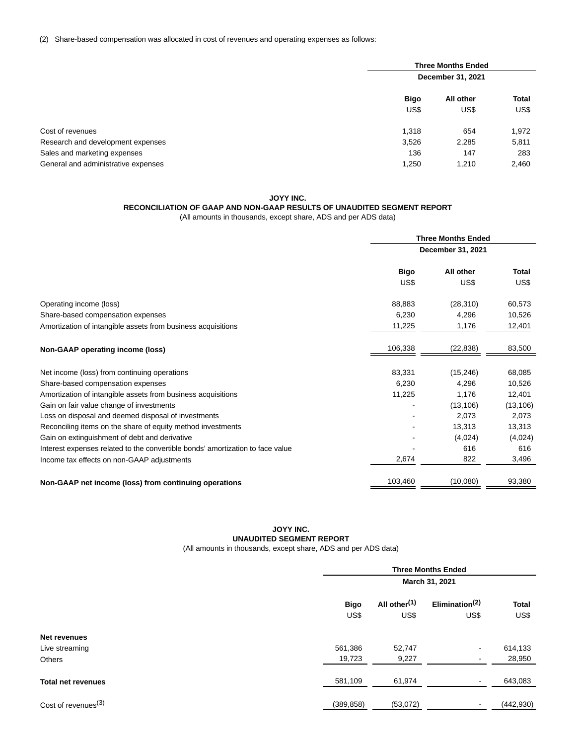(2) Share-based compensation was allocated in cost of revenues and operating expenses as follows:

|                                     |             | <b>Three Months Ended</b> |       |  |  |
|-------------------------------------|-------------|---------------------------|-------|--|--|
|                                     |             | December 31, 2021         |       |  |  |
|                                     | <b>Bigo</b> | All other                 | Total |  |  |
|                                     | US\$        | US\$                      | US\$  |  |  |
| Cost of revenues                    | 1,318       | 654                       | 1,972 |  |  |
| Research and development expenses   | 3,526       | 2,285                     | 5,811 |  |  |
| Sales and marketing expenses        | 136         | 147                       | 283   |  |  |
| General and administrative expenses | 1,250       | 1,210                     | 2,460 |  |  |

#### **JOYY INC.**

## **RECONCILIATION OF GAAP AND NON-GAAP RESULTS OF UNAUDITED SEGMENT REPORT**

(All amounts in thousands, except share, ADS and per ADS data)

|                                                                                | <b>Three Months Ended</b><br>December 31, 2021 |           |              |
|--------------------------------------------------------------------------------|------------------------------------------------|-----------|--------------|
|                                                                                |                                                |           |              |
|                                                                                | <b>Bigo</b>                                    | All other | <b>Total</b> |
|                                                                                | US\$                                           | US\$      | US\$         |
| Operating income (loss)                                                        | 88,883                                         | (28, 310) | 60,573       |
| Share-based compensation expenses                                              | 6,230                                          | 4,296     | 10,526       |
| Amortization of intangible assets from business acquisitions                   | 11,225                                         | 1,176     | 12,401       |
| Non-GAAP operating income (loss)                                               | 106,338                                        | (22, 838) | 83,500       |
| Net income (loss) from continuing operations                                   | 83,331                                         | (15, 246) | 68,085       |
| Share-based compensation expenses                                              | 6,230                                          | 4,296     | 10,526       |
| Amortization of intangible assets from business acquisitions                   | 11,225                                         | 1,176     | 12,401       |
| Gain on fair value change of investments                                       |                                                | (13, 106) | (13, 106)    |
| Loss on disposal and deemed disposal of investments                            |                                                | 2,073     | 2,073        |
| Reconciling items on the share of equity method investments                    |                                                | 13,313    | 13,313       |
| Gain on extinguishment of debt and derivative                                  |                                                | (4,024)   | (4,024)      |
| Interest expenses related to the convertible bonds' amortization to face value |                                                | 616       | 616          |
| Income tax effects on non-GAAP adjustments                                     | 2,674                                          | 822       | 3,496        |
| Non-GAAP net income (loss) from continuing operations                          | 103,460                                        | (10,080)  | 93,380       |
|                                                                                |                                                |           |              |

# **JOYY INC. UNAUDITED SEGMENT REPORT**

| <b>Three Months Ended</b>       |                     |                                  |                                    |                      |  |
|---------------------------------|---------------------|----------------------------------|------------------------------------|----------------------|--|
|                                 |                     | March 31, 2021                   |                                    |                      |  |
|                                 | <b>Bigo</b><br>US\$ | All other <sup>(1)</sup><br>US\$ | Elimination <sup>(2)</sup><br>US\$ | <b>Total</b><br>US\$ |  |
| Net revenues                    |                     |                                  |                                    |                      |  |
| Live streaming                  | 561,386             | 52,747                           | $\blacksquare$                     | 614,133              |  |
| <b>Others</b>                   | 19,723              | 9,227                            | $\overline{\phantom{a}}$           | 28,950               |  |
| <b>Total net revenues</b>       | 581,109             | 61,974                           | $\overline{\phantom{a}}$           | 643,083              |  |
| Cost of revenues <sup>(3)</sup> | (389, 858)          | (53,072)                         | $\blacksquare$                     | (442, 930)           |  |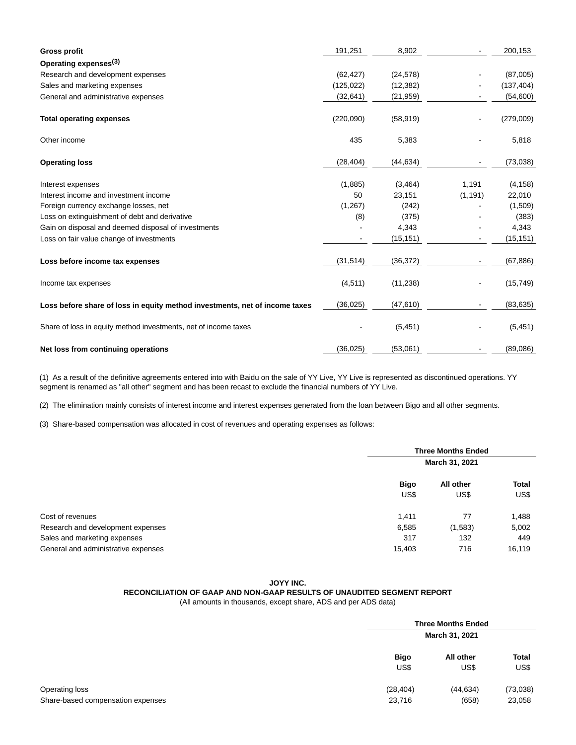| <b>Gross profit</b>                                                         | 191,251    | 8,902     |          | 200,153    |
|-----------------------------------------------------------------------------|------------|-----------|----------|------------|
| Operating expenses <sup>(3)</sup>                                           |            |           |          |            |
| Research and development expenses                                           | (62, 427)  | (24, 578) |          | (87,005)   |
| Sales and marketing expenses                                                | (125, 022) | (12, 382) |          | (137, 404) |
| General and administrative expenses                                         | (32, 641)  | (21, 959) |          | (54,600)   |
| <b>Total operating expenses</b>                                             | (220,090)  | (58, 919) |          | (279,009)  |
| Other income                                                                | 435        | 5,383     |          | 5,818      |
| <b>Operating loss</b>                                                       | (28, 404)  | (44, 634) |          | (73,038)   |
| Interest expenses                                                           | (1,885)    | (3, 464)  | 1,191    | (4, 158)   |
| Interest income and investment income                                       | 50         | 23,151    | (1, 191) | 22,010     |
| Foreign currency exchange losses, net                                       | (1,267)    | (242)     |          | (1,509)    |
| Loss on extinguishment of debt and derivative                               | (8)        | (375)     |          | (383)      |
| Gain on disposal and deemed disposal of investments                         |            | 4,343     |          | 4,343      |
| Loss on fair value change of investments                                    |            | (15, 151) |          | (15, 151)  |
| Loss before income tax expenses                                             | (31, 514)  | (36, 372) |          | (67, 886)  |
| Income tax expenses                                                         | (4,511)    | (11, 238) |          | (15, 749)  |
| Loss before share of loss in equity method investments, net of income taxes | (36, 025)  | (47, 610) |          | (83, 635)  |
| Share of loss in equity method investments, net of income taxes             |            | (5,451)   |          | (5, 451)   |
| Net loss from continuing operations                                         | (36, 025)  | (53,061)  |          | (89,086)   |

(1) As a result of the definitive agreements entered into with Baidu on the sale of YY Live, YY Live is represented as discontinued operations. YY segment is renamed as "all other" segment and has been recast to exclude the financial numbers of YY Live.

(2) The elimination mainly consists of interest income and interest expenses generated from the loan between Bigo and all other segments.

(3) Share-based compensation was allocated in cost of revenues and operating expenses as follows:

|                                                                   |                     | <b>Three Months Ended</b><br>March 31, 2021 |               |  |  |
|-------------------------------------------------------------------|---------------------|---------------------------------------------|---------------|--|--|
|                                                                   | <b>Bigo</b><br>US\$ | All other<br>US\$                           |               |  |  |
| Cost of revenues                                                  | 1,411               | 77                                          | US\$<br>1,488 |  |  |
| Research and development expenses<br>Sales and marketing expenses | 6,585<br>317        | (1,583)<br>132                              | 5,002<br>449  |  |  |
| General and administrative expenses                               | 15,403              | 716                                         | 16,119        |  |  |

#### **JOYY INC.**

## **RECONCILIATION OF GAAP AND NON-GAAP RESULTS OF UNAUDITED SEGMENT REPORT**

|                                   | <b>Three Months Ended</b> |           |              |  |
|-----------------------------------|---------------------------|-----------|--------------|--|
|                                   | March 31, 2021            |           |              |  |
|                                   | <b>Bigo</b>               | All other | <b>Total</b> |  |
|                                   | US\$                      | US\$      | US\$         |  |
| Operating loss                    | (28, 404)                 | (44,634)  | (73,038)     |  |
| Share-based compensation expenses | 23,716                    | (658)     | 23,058       |  |